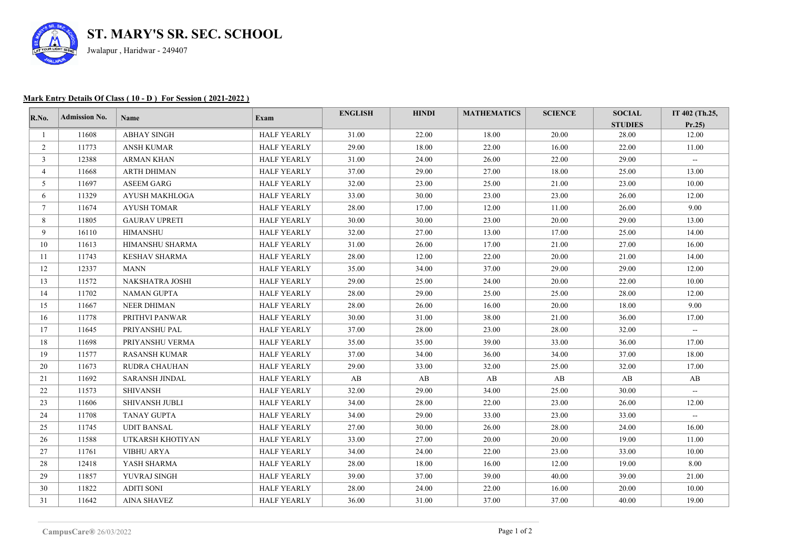

## **Mark Entry Details Of Class ( 10 - D ) For Session ( 2021-2022 )**

| R.No.           | <b>Admission No.</b> | <b>Name</b>           | Exam               | <b>ENGLISH</b> | <b>HINDI</b> | <b>MATHEMATICS</b> | <b>SCIENCE</b> | <b>SOCIAL</b>  | IT 402 (Th.25,           |
|-----------------|----------------------|-----------------------|--------------------|----------------|--------------|--------------------|----------------|----------------|--------------------------|
|                 |                      |                       |                    |                |              |                    |                | <b>STUDIES</b> | Pr.25                    |
| -1              | 11608                | <b>ABHAY SINGH</b>    | <b>HALF YEARLY</b> | 31.00          | 22.00        | 18.00              | 20.00          | 28.00          | 12.00                    |
| 2               | 11773                | <b>ANSH KUMAR</b>     | <b>HALF YEARLY</b> | 29.00          | 18.00        | 22.00              | 16.00          | 22.00          | 11.00                    |
| 3               | 12388                | <b>ARMAN KHAN</b>     | <b>HALF YEARLY</b> | 31.00          | 24.00        | 26.00              | 22.00          | 29.00          | $\sim$                   |
| 4               | 11668                | ARTH DHIMAN           | <b>HALF YEARLY</b> | 37.00          | 29.00        | 27.00              | 18.00          | 25.00          | 13.00                    |
| 5               | 11697                | <b>ASEEM GARG</b>     | <b>HALF YEARLY</b> | 32.00          | 23.00        | 25.00              | 21.00          | 23.00          | 10.00                    |
| 6               | 11329                | <b>AYUSH MAKHLOGA</b> | <b>HALF YEARLY</b> | 33.00          | 30.00        | 23.00              | 23.00          | 26.00          | 12.00                    |
| $7\overline{ }$ | 11674                | <b>AYUSH TOMAR</b>    | <b>HALF YEARLY</b> | 28.00          | 17.00        | 12.00              | 11.00          | 26.00          | 9.00                     |
| 8               | 11805                | <b>GAURAV UPRETI</b>  | <b>HALF YEARLY</b> | 30.00          | 30.00        | 23.00              | 20.00          | 29.00          | 13.00                    |
| 9               | 16110                | <b>HIMANSHU</b>       | <b>HALF YEARLY</b> | 32.00          | 27.00        | 13.00              | 17.00          | 25.00          | 14.00                    |
| 10              | 11613                | HIMANSHU SHARMA       | <b>HALF YEARLY</b> | 31.00          | 26.00        | 17.00              | 21.00          | 27.00          | 16.00                    |
| 11              | 11743                | <b>KESHAV SHARMA</b>  | <b>HALF YEARLY</b> | 28.00          | 12.00        | 22.00              | 20.00          | 21.00          | 14.00                    |
| 12              | 12337                | <b>MANN</b>           | <b>HALF YEARLY</b> | 35.00          | 34.00        | 37.00              | 29.00          | 29.00          | 12.00                    |
| 13              | 11572                | NAKSHATRA JOSHI       | <b>HALF YEARLY</b> | 29.00          | 25.00        | 24.00              | 20.00          | 22.00          | 10.00                    |
| 14              | 11702                | <b>NAMAN GUPTA</b>    | <b>HALF YEARLY</b> | 28.00          | 29.00        | 25.00              | 25.00          | 28.00          | 12.00                    |
| 15              | 11667                | <b>NEER DHIMAN</b>    | <b>HALF YEARLY</b> | 28.00          | 26.00        | 16.00              | 20.00          | 18.00          | 9.00                     |
| 16              | 11778                | PRITHVI PANWAR        | <b>HALF YEARLY</b> | 30.00          | 31.00        | 38.00              | 21.00          | 36.00          | 17.00                    |
| 17              | 11645                | PRIYANSHU PAL         | <b>HALF YEARLY</b> | 37.00          | 28.00        | 23.00              | 28.00          | 32.00          | $\sim$                   |
| 18              | 11698                | PRIYANSHU VERMA       | <b>HALF YEARLY</b> | 35.00          | 35.00        | 39.00              | 33.00          | 36.00          | 17.00                    |
| 19              | 11577                | <b>RASANSH KUMAR</b>  | <b>HALF YEARLY</b> | 37.00          | 34.00        | 36.00              | 34.00          | 37.00          | 18.00                    |
| 20              | 11673                | RUDRA CHAUHAN         | <b>HALF YEARLY</b> | 29.00          | 33.00        | 32.00              | 25.00          | 32.00          | 17.00                    |
| 21              | 11692                | <b>SARANSH JINDAL</b> | <b>HALF YEARLY</b> | AB             | AB           | AB                 | AB             | AB             | AB                       |
| 22              | 11573                | <b>SHIVANSH</b>       | <b>HALF YEARLY</b> | 32.00          | 29.00        | 34.00              | 25.00          | 30.00          | $\overline{\phantom{a}}$ |
| 23              | 11606                | <b>SHIVANSH JUBLI</b> | <b>HALF YEARLY</b> | 34.00          | 28.00        | 22.00              | 23.00          | 26.00          | 12.00                    |
| 24              | 11708                | <b>TANAY GUPTA</b>    | <b>HALF YEARLY</b> | 34.00          | 29.00        | 33.00              | 23.00          | 33.00          | $\sim$                   |
| 25              | 11745                | <b>UDIT BANSAL</b>    | <b>HALF YEARLY</b> | 27.00          | 30.00        | 26.00              | 28.00          | 24.00          | 16.00                    |
| 26              | 11588                | UTKARSH KHOTIYAN      | <b>HALF YEARLY</b> | 33.00          | 27.00        | 20.00              | 20.00          | 19.00          | 11.00                    |
| 27              | 11761                | <b>VIBHU ARYA</b>     | <b>HALF YEARLY</b> | 34.00          | 24.00        | 22.00              | 23.00          | 33.00          | 10.00                    |
| 28              | 12418                | YASH SHARMA           | <b>HALF YEARLY</b> | 28.00          | 18.00        | 16.00              | 12.00          | 19.00          | 8.00                     |
| 29              | 11857                | YUVRAJ SINGH          | <b>HALF YEARLY</b> | 39.00          | 37.00        | 39.00              | 40.00          | 39.00          | 21.00                    |
| 30              | 11822                | <b>ADITI SONI</b>     | <b>HALF YEARLY</b> | 28.00          | 24.00        | 22.00              | 16.00          | 20.00          | 10.00                    |
| 31              | 11642                | <b>AINA SHAVEZ</b>    | <b>HALF YEARLY</b> | 36.00          | 31.00        | 37.00              | 37.00          | 40.00          | 19.00                    |